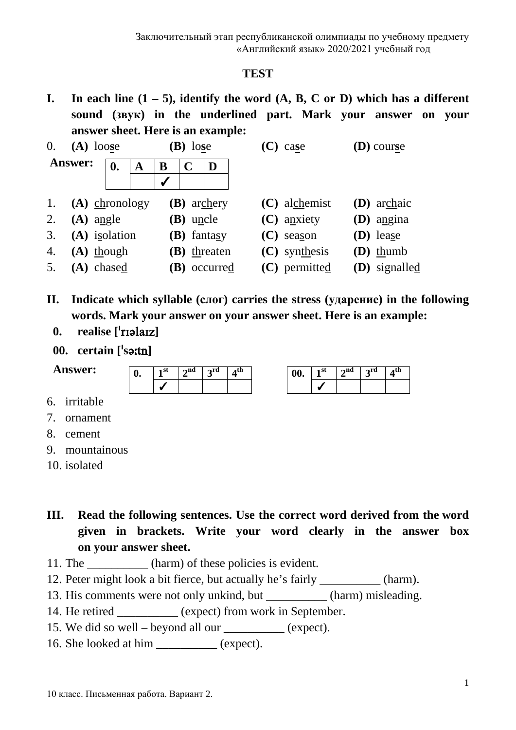#### **TEST**

**I.** In each line  $(1 - 5)$ , identify the word  $(A, B, C \text{ or } D)$  which has a different **sound (звук) in the underlined part. Mark your answer on your answer sheet. Here is an example:**

| 0.<br>$(A)$ loose |                  |    | $\mathbf{B}$ ) lose |              |                  | case               | <b>(D)</b> course |                 |               |
|-------------------|------------------|----|---------------------|--------------|------------------|--------------------|-------------------|-----------------|---------------|
|                   | <b>Answer:</b>   | 0. | A                   | B            | $\mathbf C$      | D                  |                   |                 |               |
|                   |                  |    |                     | $\checkmark$ |                  |                    |                   |                 |               |
| 1.                | $(A)$ chronology |    |                     |              |                  | <b>(B)</b> archery |                   | $(C)$ alchemist | (D) archaic   |
| 2.                | $(A)$ angle      |    |                     |              | <b>(B)</b> uncle |                    |                   | $(C)$ anxiety   | $(D)$ angina  |
| 3.                | (A) isolation    |    |                     |              |                  | (B) fantasy        |                   | $(C)$ season    | (D) lease     |
| 4.                | $(A)$ though     |    |                     |              |                  | $(B)$ threaten     |                   | $(C)$ synthesis | $(D)$ thumb   |
| 5.                | (A) chased       |    |                     |              |                  | (B) occurred       |                   | (C) permitted   | (D) signalled |

- **II. Indicate which syllable (слог) carries the stress (ударение) in the following words. Mark your answer on your answer sheet. Here is an example:**
	- **0. realise []**
	- **00. certain [s]**

**Answer:**

| 1 | $\boldsymbol{\gamma}$ nd | $2^{\text{rd}}$ | . . all |
|---|--------------------------|-----------------|---------|
|   |                          |                 |         |

| 00. | , na | րrd |  |
|-----|------|-----|--|
|     |      |     |  |

- 6. irritable
- 7. ornament
- 8. cement
- 9. mountainous
- 10. isolated
- **III. Read the following sentences. Use the correct word derived from the word given in brackets. Write your word clearly in the answer box on your answer sheet.**
- 11. The \_\_\_\_\_\_\_\_\_\_ (harm) of these policies is evident.
- 12. Peter might look a bit fierce, but actually he's fairly \_\_\_\_\_\_\_\_\_\_ (harm).
- 13. His comments were not only unkind, but (harm) misleading.
- 14. He retired \_\_\_\_\_\_\_\_\_\_ (expect) from work in September.
- 15. We did so well beyond all our \_\_\_\_\_\_\_\_\_\_ (expect).
- 16. She looked at him (expect).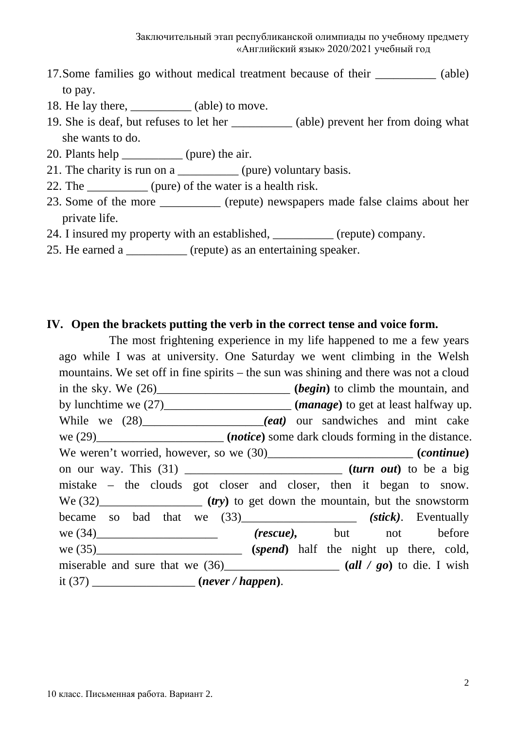- 17.Some families go without medical treatment because of their \_\_\_\_\_\_\_\_\_\_ (able) to pay.
- 18. He lay there, (able) to move.
- 19. She is deaf, but refuses to let her \_\_\_\_\_\_\_\_\_\_ (able) prevent her from doing what she wants to do.
- 20. Plants help \_\_\_\_\_\_\_\_\_\_\_\_ (pure) the air.
- 21. The charity is run on a \_\_\_\_\_\_\_\_\_\_\_ (pure) voluntary basis.
- 22. The  $(pure)$  of the water is a health risk.
- 23. Some of the more \_\_\_\_\_\_\_\_\_\_ (repute) newspapers made false claims about her private life.
- 24. I insured my property with an established, (repute) company.
- 25. He earned a \_\_\_\_\_\_\_\_\_\_ (repute) as an entertaining speaker.

## **IV. Open the brackets putting the verb in the correct tense and voice form.**

The most frightening experience in my life happened to me a few years ago while I was at university. One Saturday we went climbing in the Welsh mountains. We set off in fine spirits – the sun was shining and there was not a cloud in the sky. We (26)\_\_\_\_\_\_\_\_\_\_\_\_\_\_\_\_\_\_\_\_\_\_ (*begin*) to climb the mountain, and by lunchtime we  $(27)$   $(manage)$  to get at least halfway up. While we  $(28)$  \_\_\_\_\_\_\_\_\_\_\_\_\_*(eat)* our sandwiches and mint cake we (29)\_\_\_\_\_\_\_\_\_\_\_\_\_\_\_\_\_\_\_\_\_\_\_ (*notice*) some dark clouds forming in the distance. We weren't worried, however, so we  $(30)$ \_\_\_\_\_\_\_\_\_\_\_\_\_\_\_\_\_\_\_\_\_\_\_\_\_ (*continue*) on our way. This (31) \_\_\_\_\_\_\_\_\_\_\_\_\_\_\_\_\_\_\_\_\_\_\_\_\_\_ **(***turn out***)** to be a big mistake – the clouds got closer and closer, then it began to snow. We  $(32)$ \_\_\_\_\_\_\_\_\_\_\_\_\_\_\_  $(r_y)$  to get down the mountain, but the snowstorm became so bad that we (33)\_\_\_\_\_\_\_\_\_\_\_\_\_ *(stick)*. Eventually we (34)\_\_\_\_\_\_\_\_\_\_\_\_\_ *(rescue)*, but not before we  $(34)$ \_\_\_\_\_\_\_\_\_\_\_\_\_\_\_\_\_\_\_\_\_\_\_\_\_\_\_ *(rescue)*, but not before we (35)\_\_\_\_\_\_\_\_\_\_\_\_\_\_\_\_\_\_\_\_\_\_\_\_\_\_ (*spend*) half the night up there, cold, miserable and sure that we  $(36)$   $(30)$   $(all / go)$  to die. I wish it (37) \_\_\_\_\_\_\_\_\_\_\_\_\_\_\_\_\_ **(***never / happen***)**.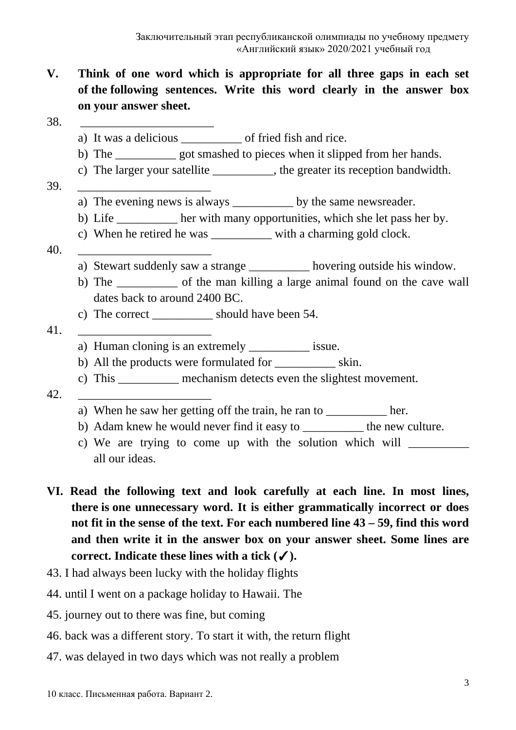- **V. Think of one word which is appropriate for all three gaps in each set of the following sentences. Write this word clearly in the answer box on your answer sheet.**
- 38. <u>\_\_\_\_\_\_\_\_\_\_\_\_\_\_\_\_\_\_\_\_\_\_</u>
	- a) It was a delicious \_\_\_\_\_\_\_\_\_\_ of fried fish and rice.
	- b) The \_\_\_\_\_\_\_\_\_\_ got smashed to pieces when it slipped from her hands.
	- c) The larger your satellite \_\_\_\_\_\_\_\_\_\_, the greater its reception bandwidth.
- 39. \_\_\_\_\_\_\_\_\_\_\_\_\_\_\_\_\_\_\_\_\_\_
	- a) The evening news is always \_\_\_\_\_\_\_\_\_\_\_\_ by the same newsreader.
	- b) Life \_\_\_\_\_\_\_\_\_\_ her with many opportunities, which she let pass her by.
	- c) When he retired he was with a charming gold clock.
- 40. \_\_\_\_\_\_\_\_\_\_\_\_\_\_\_\_\_\_\_\_\_\_
	- a) Stewart suddenly saw a strange hovering outside his window.
	- b) The of the man killing a large animal found on the cave wall dates back to around 2400 BC.
	- c) The correct \_\_\_\_\_\_\_\_\_\_ should have been 54.
- 41. \_\_\_\_\_\_\_\_\_\_\_\_\_\_\_\_\_\_\_\_\_\_
	- a) Human cloning is an extremely issue.
	- b) All the products were formulated for \_\_\_\_\_\_\_\_\_\_ skin.
	- c) This \_\_\_\_\_\_\_\_\_\_ mechanism detects even the slightest movement.
- 42. \_\_\_\_\_\_\_\_\_\_\_\_\_\_\_\_\_\_\_\_\_\_
	- a) When he saw her getting off the train, he ran to \_\_\_\_\_\_\_\_\_\_\_\_ her.
	- b) Adam knew he would never find it easy to the new culture.
	- c) We are trying to come up with the solution which will all our ideas.
- **VI. Read the following text and look carefully at each line. In most lines, there is one unnecessary word. It is either grammatically incorrect or does not fit in the sense of the text. For each numbered line 43 – 59, find this word and then write it in the answer box on your answer sheet. Some lines are correct. Indicate these lines with a tick (**✓**).**
- 43. I had always been lucky with the holiday flights
- 44. until I went on a package holiday to Hawaii. The
- 45. journey out to there was fine, but coming
- 46. back was a different story. To start it with, the return flight
- 47. was delayed in two days which was not really a problem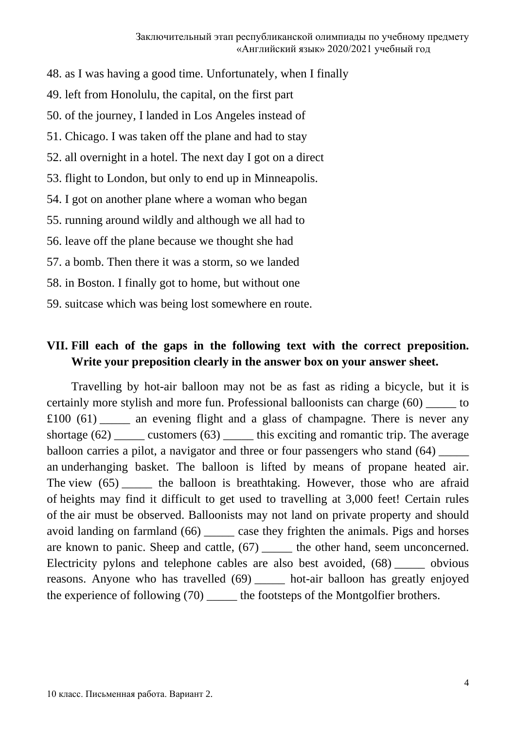- 48. as I was having a good time. Unfortunately, when I finally
- 49. left from Honolulu, the capital, on the first part
- 50. of the journey, I landed in Los Angeles instead of
- 51. Chicago. I was taken off the plane and had to stay
- 52. all overnight in a hotel. The next day I got on a direct
- 53. flight to London, but only to end up in Minneapolis.
- 54. I got on another plane where a woman who began
- 55. running around wildly and although we all had to
- 56. leave off the plane because we thought she had
- 57. a bomb. Then there it was a storm, so we landed
- 58. in Boston. I finally got to home, but without one
- 59. suitcase which was being lost somewhere en route.

# **VII. Fill each of the gaps in the following text with the correct preposition. Write your preposition clearly in the answer box on your answer sheet.**

Travelling by hot-air balloon may not be as fast as riding a bicycle, but it is certainly more stylish and more fun. Professional balloonists can charge (60) to £100 (61) \_\_\_\_\_ an evening flight and a glass of champagne. There is never any shortage  $(62)$  \_\_\_\_\_\_ customers  $(63)$  \_\_\_\_\_\_ this exciting and romantic trip. The average balloon carries a pilot, a navigator and three or four passengers who stand (64) an underhanging basket. The balloon is lifted by means of propane heated air. The view (65) the balloon is breathtaking. However, those who are afraid of heights may find it difficult to get used to travelling at 3,000 feet! Certain rules of the air must be observed. Balloonists may not land on private property and should avoid landing on farmland (66) \_\_\_\_\_ case they frighten the animals. Pigs and horses are known to panic. Sheep and cattle, (67) \_\_\_\_\_ the other hand, seem unconcerned. Electricity pylons and telephone cables are also best avoided, (68) \_\_\_\_\_ obvious reasons. Anyone who has travelled (69) \_\_\_\_\_ hot-air balloon has greatly enjoyed the experience of following (70) \_\_\_\_\_ the footsteps of the Montgolfier brothers.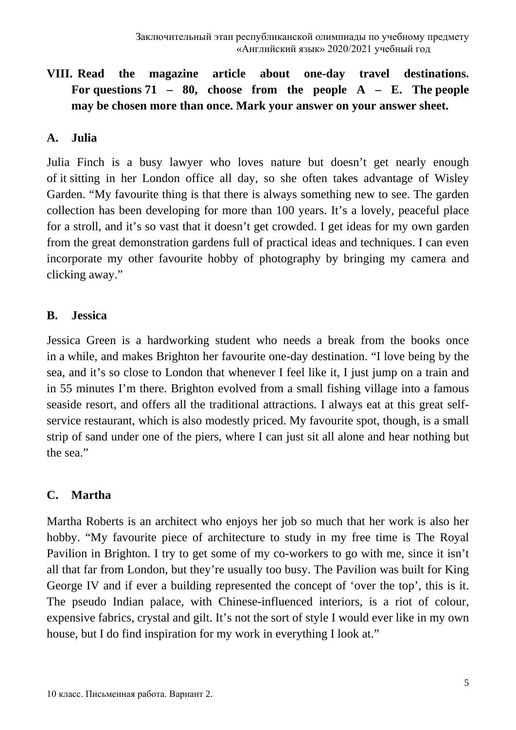# **VIII. Read the magazine article about one-day travel destinations.**  For questions  $71 - 80$ , choose from the people A – E. The people **may be chosen more than once. Mark your answer on your answer sheet.**

#### **A. Julia**

Julia Finch is a busy lawyer who loves nature but doesn't get nearly enough of it sitting in her London office all day, so she often takes advantage of Wisley Garden. "My favourite thing is that there is always something new to see. The garden collection has been developing for more than 100 years. It's a lovely, peaceful place for a stroll, and it's so vast that it doesn't get crowded. I get ideas for my own garden from the great demonstration gardens full of practical ideas and techniques. I can even incorporate my other favourite hobby of photography by bringing my camera and clicking away."

#### **B. Jessica**

Jessica Green is a hardworking student who needs a break from the books once in a while, and makes Brighton her favourite one-day destination. "I love being by the sea, and it's so close to London that whenever I feel like it, I just jump on a train and in 55 minutes I'm there. Brighton evolved from a small fishing village into a famous seaside resort, and offers all the traditional attractions. I always eat at this great selfservice restaurant, which is also modestly priced. My favourite spot, though, is a small strip of sand under one of the piers, where I can just sit all alone and hear nothing but the sea."

## **C. Martha**

Martha Roberts is an architect who enjoys her job so much that her work is also her hobby. "My favourite piece of architecture to study in my free time is The Royal Pavilion in Brighton. I try to get some of my co-workers to go with me, since it isn't all that far from London, but they're usually too busy. The Pavilion was built for King George IV and if ever a building represented the concept of 'over the top', this is it. The pseudo Indian palace, with Chinese-influenced interiors, is a riot of colour, expensive fabrics, crystal and gilt. It's not the sort of style I would ever like in my own house, but I do find inspiration for my work in everything I look at."